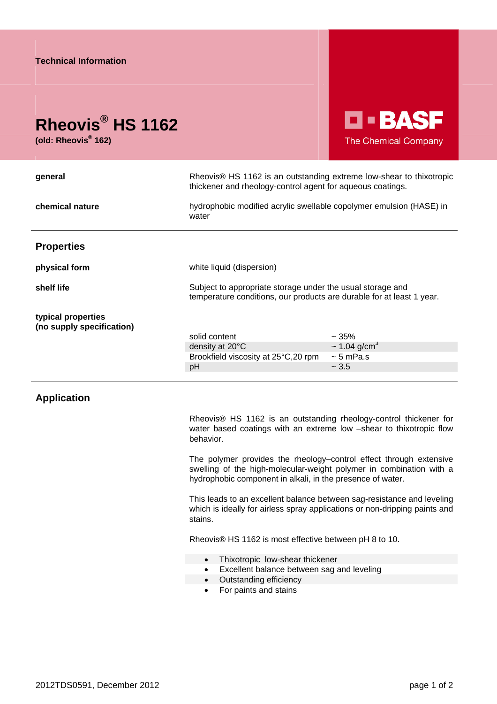## **Rheovis® HS 1162**

**(old: Rheovis® 162)** 

D • BASF The Chemical Company

| general                                         | Rheovis <sup>®</sup> HS 1162 is an outstanding extreme low-shear to thixotropic<br>thickener and rheology-control agent for aqueous coatings. |                                            |
|-------------------------------------------------|-----------------------------------------------------------------------------------------------------------------------------------------------|--------------------------------------------|
| chemical nature                                 | hydrophobic modified acrylic swellable copolymer emulsion (HASE) in<br>water                                                                  |                                            |
| <b>Properties</b>                               |                                                                                                                                               |                                            |
| physical form                                   | white liquid (dispersion)                                                                                                                     |                                            |
| shelf life                                      | Subject to appropriate storage under the usual storage and<br>temperature conditions, our products are durable for at least 1 year.           |                                            |
| typical properties<br>(no supply specification) | solid content<br>density at 20°C                                                                                                              | $~1.35\%$<br>$\sim$ 1.04 g/cm <sup>3</sup> |
|                                                 | Brookfield viscosity at 25°C,20 rpm                                                                                                           | $\sim$ 5 mPa.s                             |
|                                                 | pH                                                                                                                                            | ~1.5                                       |
|                                                 |                                                                                                                                               |                                            |

## **Application**

Rheovis® HS 1162 is an outstanding rheology-control thickener for water based coatings with an extreme low –shear to thixotropic flow behavior.

The polymer provides the rheology–control effect through extensive swelling of the high-molecular-weight polymer in combination with a hydrophobic component in alkali, in the presence of water.

This leads to an excellent balance between sag-resistance and leveling which is ideally for airless spray applications or non-dripping paints and stains.

Rheovis® HS 1162 is most effective between pH 8 to 10.

- Thixotropic low-shear thickener
- **Excellent balance between sag and leveling**
- Outstanding efficiency
	- For paints and stains